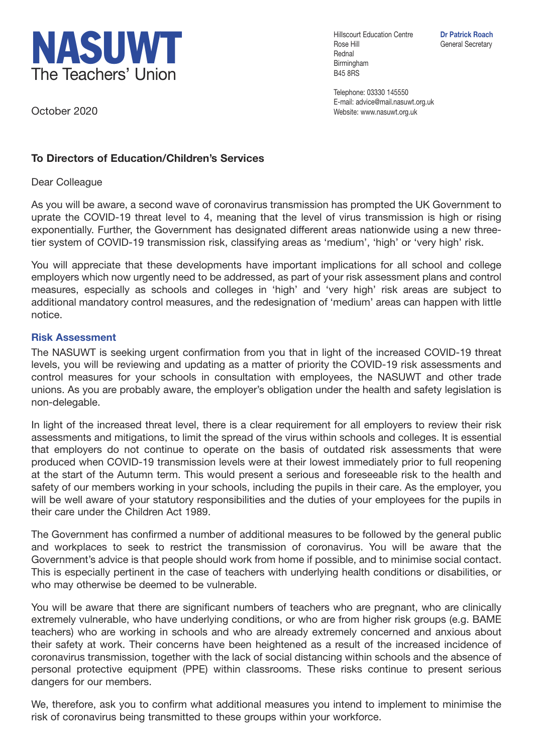

Hillscourt Education Centre **Dr Patrick Roach** Rose Hill General Secretary Rednal Birmingham B45 8RS

Telephone: 03330 145550 E-mail: advice@mail.nasuwt.org.uk Website: www.nasuwt.org.uk

October 2020

## **To Directors of Education/Children's Services**

Dear Colleague

As you will be aware, a second wave of coronavirus transmission has prompted the UK Government to uprate the COVID-19 threat level to 4, meaning that the level of virus transmission is high or rising exponentially. Further, the Government has designated different areas nationwide using a new threetier system of COVID-19 transmission risk, classifying areas as 'medium', 'high' or 'very high' risk.

You will appreciate that these developments have important implications for all school and college employers which now urgently need to be addressed, as part of your risk assessment plans and control measures, especially as schools and colleges in 'high' and 'very high' risk areas are subject to additional mandatory control measures, and the redesignation of 'medium' areas can happen with little notice.

## **Risk Assessment**

The NASUWT is seeking urgent confirmation from you that in light of the increased COVID-19 threat levels, you will be reviewing and updating as a matter of priority the COVID-19 risk assessments and control measures for your schools in consultation with employees, the NASUWT and other trade unions. As you are probably aware, the employer's obligation under the health and safety legislation is non-delegable.

In light of the increased threat level, there is a clear requirement for all employers to review their risk assessments and mitigations, to limit the spread of the virus within schools and colleges. It is essential that employers do not continue to operate on the basis of outdated risk assessments that were produced when COVID-19 transmission levels were at their lowest immediately prior to full reopening at the start of the Autumn term. This would present a serious and foreseeable risk to the health and safety of our members working in your schools, including the pupils in their care. As the employer, you will be well aware of your statutory responsibilities and the duties of your employees for the pupils in their care under the Children Act 1989.

The Government has confirmed a number of additional measures to be followed by the general public and workplaces to seek to restrict the transmission of coronavirus. You will be aware that the Government's advice is that people should work from home if possible, and to minimise social contact. This is especially pertinent in the case of teachers with underlying health conditions or disabilities, or who may otherwise be deemed to be vulnerable.

You will be aware that there are significant numbers of teachers who are pregnant, who are clinically extremely vulnerable, who have underlying conditions, or who are from higher risk groups (e.g. BAME teachers) who are working in schools and who are already extremely concerned and anxious about their safety at work. Their concerns have been heightened as a result of the increased incidence of coronavirus transmission, together with the lack of social distancing within schools and the absence of personal protective equipment (PPE) within classrooms. These risks continue to present serious dangers for our members.

We, therefore, ask you to confirm what additional measures you intend to implement to minimise the risk of coronavirus being transmitted to these groups within your workforce.